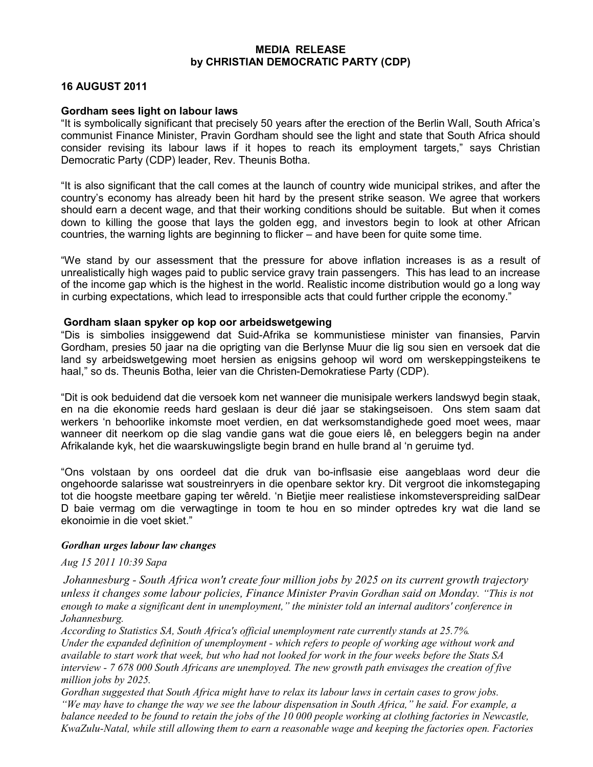### MEDIA RELEASE by CHRISTIAN DEMOCRATIC PARTY (CDP)

# 16 AUGUST 2011

## Gordham sees light on labour laws

"It is symbolically significant that precisely 50 years after the erection of the Berlin Wall, South Africa's communist Finance Minister, Pravin Gordham should see the light and state that South Africa should consider revising its labour laws if it hopes to reach its employment targets," says Christian Democratic Party (CDP) leader, Rev. Theunis Botha.

"It is also significant that the call comes at the launch of country wide municipal strikes, and after the country's economy has already been hit hard by the present strike season. We agree that workers should earn a decent wage, and that their working conditions should be suitable. But when it comes down to killing the goose that lays the golden egg, and investors begin to look at other African countries, the warning lights are beginning to flicker – and have been for quite some time.

"We stand by our assessment that the pressure for above inflation increases is as a result of unrealistically high wages paid to public service gravy train passengers. This has lead to an increase of the income gap which is the highest in the world. Realistic income distribution would go a long way in curbing expectations, which lead to irresponsible acts that could further cripple the economy."

## Gordham slaan spyker op kop oor arbeidswetgewing

"Dis is simbolies insiggewend dat Suid-Afrika se kommunistiese minister van finansies, Parvin Gordham, presies 50 jaar na die oprigting van die Berlynse Muur die lig sou sien en versoek dat die land sy arbeidswetgewing moet hersien as enigsins gehoop wil word om werskeppingsteikens te haal," so ds. Theunis Botha, leier van die Christen-Demokratiese Party (CDP).

"Dit is ook beduidend dat die versoek kom net wanneer die munisipale werkers landswyd begin staak, en na die ekonomie reeds hard geslaan is deur dié jaar se stakingseisoen. Ons stem saam dat werkers 'n behoorlike inkomste moet verdien, en dat werksomstandighede goed moet wees, maar wanneer dit neerkom op die slag vandie gans wat die goue eiers lê, en beleggers begin na ander Afrikalande kyk, het die waarskuwingsligte begin brand en hulle brand al 'n geruime tyd.

"Ons volstaan by ons oordeel dat die druk van bo-inflsasie eise aangeblaas word deur die ongehoorde salarisse wat soustreinryers in die openbare sektor kry. Dit vergroot die inkomstegaping tot die hoogste meetbare gaping ter wêreld. 'n Bietjie meer realistiese inkomsteverspreiding salDear D baie vermag om die verwagtinge in toom te hou en so minder optredes kry wat die land se ekonoimie in die voet skiet."

## Gordhan urges labour law changes

## Aug 15 2011 10:39 Sapa

 Johannesburg - South Africa won't create four million jobs by 2025 on its current growth trajectory unless it changes some labour policies, Finance Minister Pravin Gordhan said on Monday. "This is not enough to make a significant dent in unemployment," the minister told an internal auditors' conference in Johannesburg.

According to Statistics SA, South Africa's official unemployment rate currently stands at 25.7%. Under the expanded definition of unemployment - which refers to people of working age without work and available to start work that week, but who had not looked for work in the four weeks before the Stats SA interview - 7 678 000 South Africans are unemployed. The new growth path envisages the creation of five million jobs by 2025.

Gordhan suggested that South Africa might have to relax its labour laws in certain cases to grow jobs. "We may have to change the way we see the labour dispensation in South Africa," he said. For example, a balance needed to be found to retain the jobs of the 10 000 people working at clothing factories in Newcastle, KwaZulu-Natal, while still allowing them to earn a reasonable wage and keeping the factories open. Factories